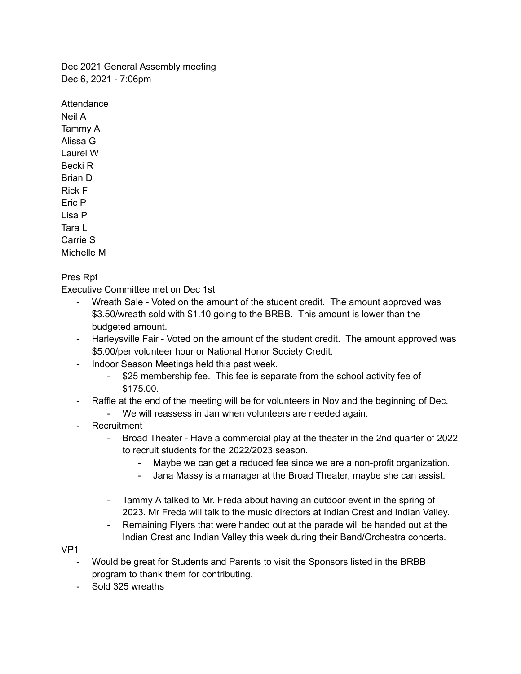Dec 2021 General Assembly meeting Dec 6, 2021 - 7:06pm

Attendance Neil A Tammy A Alissa G Laurel W Becki R Brian D Rick F Eric P Lisa P Tara L Carrie S Michelle M

Pres Rpt

Executive Committee met on Dec 1st

- Wreath Sale Voted on the amount of the student credit. The amount approved was \$3.50/wreath sold with \$1.10 going to the BRBB. This amount is lower than the budgeted amount.
- Harleysville Fair Voted on the amount of the student credit. The amount approved was \$5.00/per volunteer hour or National Honor Society Credit.
- Indoor Season Meetings held this past week.
	- \$25 membership fee. This fee is separate from the school activity fee of \$175.00.
- Raffle at the end of the meeting will be for volunteers in Nov and the beginning of Dec.
	- We will reassess in Jan when volunteers are needed again.
- Recruitment
	- Broad Theater Have a commercial play at the theater in the 2nd quarter of 2022 to recruit students for the 2022/2023 season.
		- Maybe we can get a reduced fee since we are a non-profit organization.
		- Jana Massy is a manager at the Broad Theater, maybe she can assist.
	- Tammy A talked to Mr. Freda about having an outdoor event in the spring of 2023. Mr Freda will talk to the music directors at Indian Crest and Indian Valley.
	- Remaining Flyers that were handed out at the parade will be handed out at the Indian Crest and Indian Valley this week during their Band/Orchestra concerts.

VP1

- Would be great for Students and Parents to visit the Sponsors listed in the BRBB program to thank them for contributing.
- Sold 325 wreaths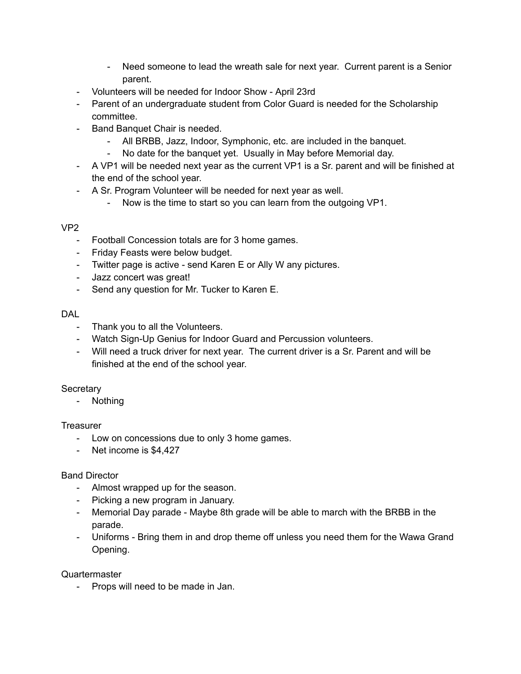- Need someone to lead the wreath sale for next year. Current parent is a Senior parent.
- Volunteers will be needed for Indoor Show April 23rd
- Parent of an undergraduate student from Color Guard is needed for the Scholarship committee.
- Band Banquet Chair is needed.
	- All BRBB, Jazz, Indoor, Symphonic, etc. are included in the banquet.
	- No date for the banquet yet. Usually in May before Memorial day.
- A VP1 will be needed next year as the current VP1 is a Sr. parent and will be finished at the end of the school year.
- A Sr. Program Volunteer will be needed for next year as well.
	- Now is the time to start so you can learn from the outgoing VP1.

## VP2

- Football Concession totals are for 3 home games.
- Friday Feasts were below budget.
- Twitter page is active send Karen E or Ally W any pictures.
- Jazz concert was great!
- Send any question for Mr. Tucker to Karen E.

## DAL

- Thank you to all the Volunteers.
- Watch Sign-Up Genius for Indoor Guard and Percussion volunteers.
- Will need a truck driver for next year. The current driver is a Sr. Parent and will be finished at the end of the school year.

## **Secretary**

- Nothing

## **Treasurer**

- Low on concessions due to only 3 home games.
- Net income is \$4,427

# Band Director

- Almost wrapped up for the season.
- Picking a new program in January.
- Memorial Day parade Maybe 8th grade will be able to march with the BRBB in the parade.
- Uniforms Bring them in and drop theme off unless you need them for the Wawa Grand Opening.

Quartermaster

- Props will need to be made in Jan.